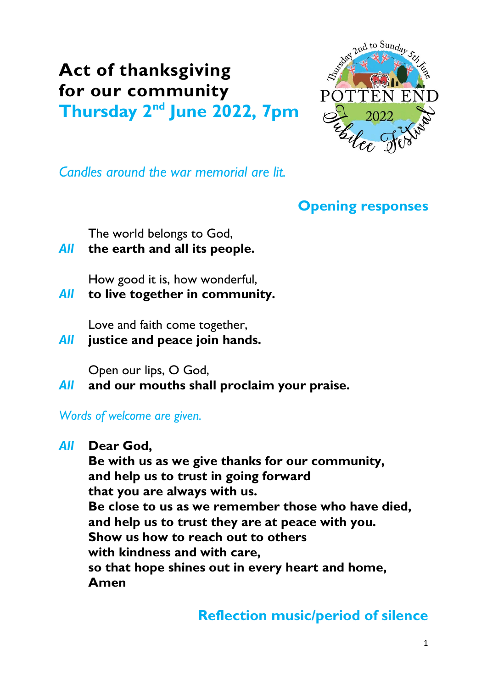# **Act of thanksgiving for our community**

**Thursday 2nd June 2022, 7pm**



*Candles around the war memorial are lit.*

## **Opening responses**

The world belongs to God,

### *All* **the earth and all its people.**

How good it is, how wonderful,

*All* **to live together in community.**

Love and faith come together,

*All* **justice and peace join hands.**

Open our lips, O God,

*All* **and our mouths shall proclaim your praise.**

*Words of welcome are given.*

#### *All* **Dear God,**

**Be with us as we give thanks for our community, and help us to trust in going forward that you are always with us. Be close to us as we remember those who have died, and help us to trust they are at peace with you. Show us how to reach out to others with kindness and with care, so that hope shines out in every heart and home, Amen**

# **Reflection music/period of silence**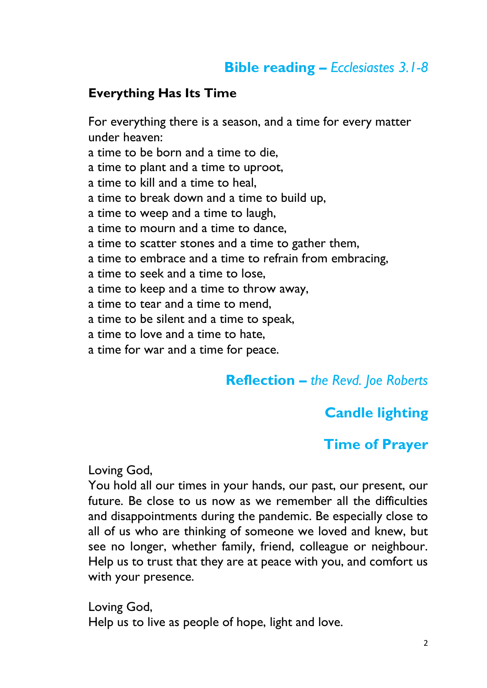## **Bible reading –** *Ecclesiastes 3.1-8*

#### **Everything Has Its Time**

For everything there is a season, and a time for every matter under heaven: a time to be born and a time to die, a time to plant and a time to uproot, a time to kill and a time to heal, a time to break down and a time to build up, a time to weep and a time to laugh, a time to mourn and a time to dance, a time to scatter stones and a time to gather them, a time to embrace and a time to refrain from embracing, a time to seek and a time to lose, a time to keep and a time to throw away, a time to tear and a time to mend, a time to be silent and a time to speak, a time to love and a time to hate, a time for war and a time for peace.

#### **Reflection –** *the Revd. Joe Roberts*

#### **Candle lighting**

#### **Time of Prayer**

Loving God,

You hold all our times in your hands, our past, our present, our future. Be close to us now as we remember all the difficulties and disappointments during the pandemic. Be especially close to all of us who are thinking of someone we loved and knew, but see no longer, whether family, friend, colleague or neighbour. Help us to trust that they are at peace with you, and comfort us with your presence.

Loving God, Help us to live as people of hope, light and love.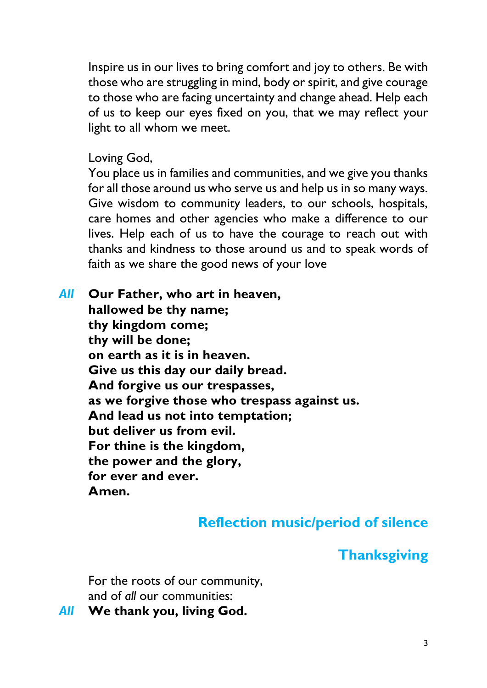Inspire us in our lives to bring comfort and joy to others. Be with those who are struggling in mind, body or spirit, and give courage to those who are facing uncertainty and change ahead. Help each of us to keep our eyes fixed on you, that we may reflect your light to all whom we meet.

Loving God,

You place us in families and communities, and we give you thanks for all those around us who serve us and help us in so many ways. Give wisdom to community leaders, to our schools, hospitals, care homes and other agencies who make a difference to our lives. Help each of us to have the courage to reach out with thanks and kindness to those around us and to speak words of faith as we share the good news of your love

*All* **Our Father, who art in heaven, hallowed be thy name; thy kingdom come; thy will be done; on earth as it is in heaven. Give us this day our daily bread. And forgive us our trespasses, as we forgive those who trespass against us. And lead us not into temptation; but deliver us from evil. For thine is the kingdom, the power and the glory, for ever and ever. Amen.**

# **Reflection music/period of silence**

## **Thanksgiving**

For the roots of our community, and of *all* our communities:

*All* **We thank you, living God.**